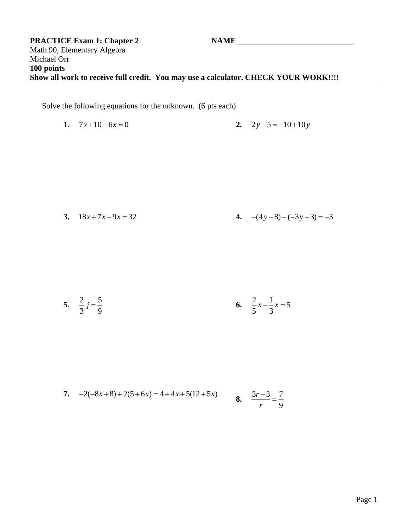Solve the following equations for the unknown. (6 pts each)

1. 
$$
7x+10-6x=0
$$
  
2.  $2y-5=-10+10y$ 

3. 
$$
18x+7x-9x = 32
$$
  
4.  $-(4y-8)-(-3y-3) = -3$ 

5. 
$$
\frac{2}{3}j = \frac{5}{9}
$$
 6.  $\frac{2}{5}x - \frac{1}{3}x = 5$ 

7. 
$$
-2(-8x+8) + 2(5+6x) = 4 + 4x + 5(12+5x)
$$
  
8.  $\frac{3r-3}{r} = \frac{7}{9}$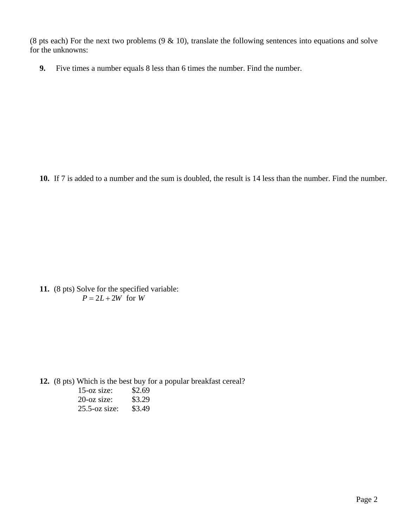(8 pts each) For the next two problems  $(9 \& 10)$ , translate the following sentences into equations and solve for the unknowns:

**9.** Five times a number equals 8 less than 6 times the number. Find the number.

**10.** If 7 is added to a number and the sum is doubled, the result is 14 less than the number. Find the number.

**11.** (8 pts) Solve for the specified variable:  $P = 2L + 2W$  for *W* 

**12.** (8 pts) Which is the best buy for a popular breakfast cereal?

| $15$ -oz size:   | \$2.69 |
|------------------|--------|
| $20$ -oz size:   | \$3.29 |
| $25.5$ -oz size: | \$3.49 |